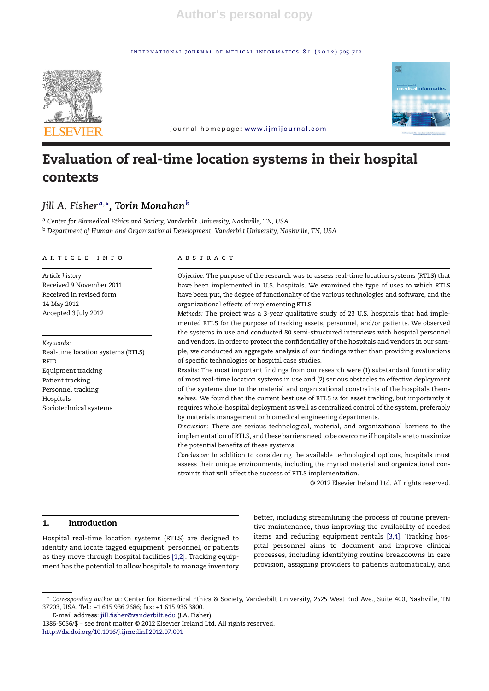#### INTERNATIONAL JOURNAL OF MEDICAL INFORMATICS 81 (2012) 705-712



# **Evaluation of real-time location systems in their hospital contexts**

# *Jill A. Fisher <sup>a</sup>***,∗***, Torin Monahan<sup>b</sup>*

<sup>a</sup> *Center for Biomedical Ethics and Society, Vanderbilt University, Nashville, TN, USA* <sup>b</sup> *Department of Human and Organizational Development, Vanderbilt University, Nashville, TN, USA*

#### a r t i c l e i n f o

*Article history:* Received 9 November 2011 Received in revised form 14 May 2012 Accepted 3 July 2012

*Keywords:* Real-time location systems (RTLS) RFID Equipment tracking Patient tracking Personnel tracking Hospitals Sociotechnical systems

## a b s t r a c t

*Objective:* The purpose of the research was to assess real-time location systems (RTLS) that have been implemented in U.S. hospitals. We examined the type of uses to which RTLS have been put, the degree of functionality of the various technologies and software, and the organizational effects of implementing RTLS.

*Methods:* The project was a 3-year qualitative study of 23 U.S. hospitals that had implemented RTLS for the purpose of tracking assets, personnel, and/or patients. We observed the systems in use and conducted 80 semi-structured interviews with hospital personnel and vendors. In order to protect the confidentiality of the hospitals and vendors in our sample, we conducted an aggregate analysis of our findings rather than providing evaluations of specific technologies or hospital case studies.

*Results:* The most important findings from our research were (1) substandard functionality of most real-time location systems in use and (2) serious obstacles to effective deployment of the systems due to the material and organizational constraints of the hospitals themselves. We found that the current best use of RTLS is for asset tracking, but importantly it requires whole-hospital deployment as well as centralized control of the system, preferably by materials management or biomedical engineering departments.

*Discussion:* There are serious technological, material, and organizational barriers to the implementation of RTLS, and these barriers need to be overcome if hospitals are to maximize the potential benefits of these systems.

*Conclusion:* In addition to considering the available technological options, hospitals must assess their unique environments, including the myriad material and organizational constraints that will affect the success of RTLS implementation.

© 2012 Elsevier Ireland Ltd. All rights reserved.

#### **1. Introduction**

Hospital real-time location systems (RTLS) are designed to identify and locate tagged equipment, personnel, or patients as they move through hospital facilities [1,2]. Tracking equipment has the potential to allow hospitals to manage inventory better, including streamlining the process of routine preventive maintenance, thus improving the availability of needed items and reducing equipment rentals [3,4]. Tracking hospital personnel aims to document and improve clinical processes, including identifying routine breakdowns in care provision, assigning providers to patients automatically, and

<sup>∗</sup> *Corresponding author at*: Center for Biomedical Ethics & Society, Vanderbilt University, 2525 West End Ave., Suite 400, Nashville, TN 37203, USA. Tel.: +1 615 936 2686; fax: +1 615 936 3800.

E-mail address: jill.fisher@vanderbilt.edu (J.A. Fisher).

<sup>1386-5056/\$</sup> – see front matter © 2012 Elsevier Ireland Ltd. All rights reserved. http://dx.doi.org/10.1016/j.ijmedinf.2012.07.001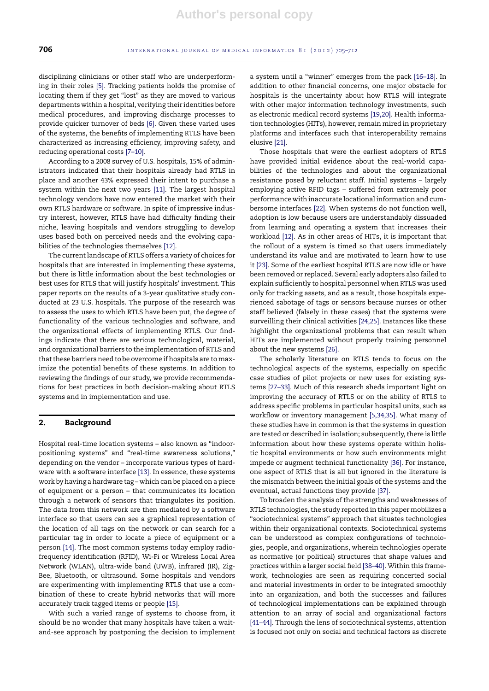disciplining clinicians or other staff who are underperforming in their roles [5]. Tracking patients holds the promise of locating them if they get "lost" as they are moved to various departments within a hospital, verifying their identities before medical procedures, and improving discharge processes to provide quicker turnover of beds [6]. Given these varied uses of the systems, the benefits of implementing RTLS have been characterized as increasing efficiency, improving safety, and reducing operational costs [7–10].

According to a 2008 survey of U.S. hospitals, 15% of administrators indicated that their hospitals already had RTLS in place and another 43% expressed their intent to purchase a system within the next two years [11]. The largest hospital technology vendors have now entered the market with their own RTLS hardware or software. In spite of impressive industry interest, however, RTLS have had difficulty finding their niche, leaving hospitals and vendors struggling to develop uses based both on perceived needs and the evolving capabilities of the technologies themselves [12].

The current landscape of RTLS offers a variety of choices for hospitals that are interested in implementing these systems, but there is little information about the best technologies or best uses for RTLS that will justify hospitals' investment. This paper reports on the results of a 3-year qualitative study conducted at 23 U.S. hospitals. The purpose of the research was to assess the uses to which RTLS have been put, the degree of functionality of the various technologies and software, and the organizational effects of implementing RTLS. Our findings indicate that there are serious technological, material, and organizational barriers to the implementation of RTLS and that these barriers need to be overcome if hospitals are to maximize the potential benefits of these systems. In addition to reviewing the findings of our study, we provide recommendations for best practices in both decision-making about RTLS systems and in implementation and use.

## **2. Background**

Hospital real-time location systems – also known as "indoorpositioning systems" and "real-time awareness solutions," depending on the vendor – incorporate various types of hardware with a software interface [13]. In essence, these systems work by having a hardware tag – which can be placed on a piece of equipment or a person – that communicates its location through a network of sensors that triangulates its position. The data from this network are then mediated by a software interface so that users can see a graphical representation of the location of all tags on the network or can search for a particular tag in order to locate a piece of equipment or a person [14]. The most common systems today employ radiofrequency identification (RFID), Wi-Fi or Wireless Local Area Network (WLAN), ultra-wide band (UWB), infrared (IR), Zig-Bee, Bluetooth, or ultrasound. Some hospitals and vendors are experimenting with implementing RTLS that use a combination of these to create hybrid networks that will more accurately track tagged items or people [15].

With such a varied range of systems to choose from, it should be no wonder that many hospitals have taken a waitand-see approach by postponing the decision to implement

a system until a "winner" emerges from the pack [16–18]. In addition to other financial concerns, one major obstacle for hospitals is the uncertainty about how RTLS will integrate with other major information technology investments, such as electronic medical record systems [19,20]. Health information technologies (HITs), however, remain mired in proprietary platforms and interfaces such that interoperability remains elusive [21].

Those hospitals that were the earliest adopters of RTLS have provided initial evidence about the real-world capabilities of the technologies and about the organizational resistance posed by reluctant staff. Initial systems – largely employing active RFID tags – suffered from extremely poor performance with inaccurate locational information and cumbersome interfaces [22]. When systems do not function well, adoption is low because users are understandably dissuaded from learning and operating a system that increases their workload [12]. As in other areas of HITs, it is important that the rollout of a system is timed so that users immediately understand its value and are motivated to learn how to use it [23]. Some of the earliest hospital RTLS are now idle or have been removed or replaced. Several early adopters also failed to explain sufficiently to hospital personnel when RTLS was used only for tracking assets, and as a result, those hospitals experienced sabotage of tags or sensors because nurses or other staff believed (falsely in these cases) that the systems were surveilling their clinical activities [24,25]. Instances like these highlight the organizational problems that can result when HITs are implemented without properly training personnel about the new systems [26].

The scholarly literature on RTLS tends to focus on the technological aspects of the systems, especially on specific case studies of pilot projects or new uses for existing systems [27–33]. Much of this research sheds important light on improving the accuracy of RTLS or on the ability of RTLS to address specific problems in particular hospital units, such as workflow or inventory management [5,34,35]. What many of these studies have in common is that the systems in question are tested or described in isolation; subsequently, there is little information about how these systems operate within holistic hospital environments or how such environments might impede or augment technical functionality [36]. For instance, one aspect of RTLS that is all but ignored in the literature is the mismatch between the initial goals of the systems and the eventual, actual functions they provide [37].

To broaden the analysis of the strengths and weaknesses of RTLS technologies, the study reported in this paper mobilizes a "sociotechnical systems" approach that situates technologies within their organizational contexts. Sociotechnical systems can be understood as complex configurations of technologies, people, and organizations, wherein technologies operate as normative (or political) structures that shape values and practices within a larger social field [38–40]. Within this framework, technologies are seen as requiring concerted social and material investments in order to be integrated smoothly into an organization, and both the successes and failures of technological implementations can be explained through attention to an array of social and organizational factors [41–44]. Through the lens of sociotechnical systems, attention is focused not only on social and technical factors as discrete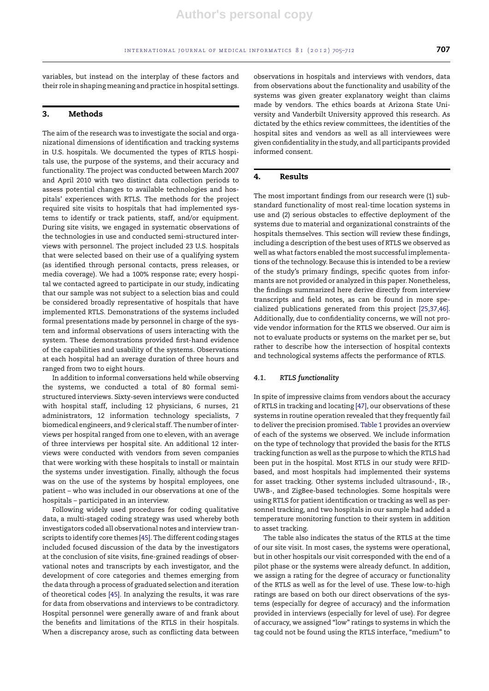variables, but instead on the interplay of these factors and their role in shaping meaning and practice in hospital settings.

# **3. Methods**

The aim of the research was to investigate the social and organizational dimensions of identification and tracking systems in U.S. hospitals. We documented the types of RTLS hospitals use, the purpose of the systems, and their accuracy and functionality. The project was conducted between March 2007 and April 2010 with two distinct data collection periods to assess potential changes to available technologies and hospitals' experiences with RTLS. The methods for the project required site visits to hospitals that had implemented systems to identify or track patients, staff, and/or equipment. During site visits, we engaged in systematic observations of the technologies in use and conducted semi-structured interviews with personnel. The project included 23 U.S. hospitals that were selected based on their use of a qualifying system (as identified through personal contacts, press releases, or media coverage). We had a 100% response rate; every hospital we contacted agreed to participate in our study, indicating that our sample was not subject to a selection bias and could be considered broadly representative of hospitals that have implemented RTLS. Demonstrations of the systems included formal presentations made by personnel in charge of the system and informal observations of users interacting with the system. These demonstrations provided first-hand evidence of the capabilities and usability of the systems. Observations at each hospital had an average duration of three hours and ranged from two to eight hours.

In addition to informal conversations held while observing the systems, we conducted a total of 80 formal semistructured interviews. Sixty-seven interviews were conducted with hospital staff, including 12 physicians, 6 nurses, 21 administrators, 12 information technology specialists, 7 biomedical engineers, and 9 clerical staff. The number of interviews per hospital ranged from one to eleven, with an average of three interviews per hospital site. An additional 12 interviews were conducted with vendors from seven companies that were working with these hospitals to install or maintain the systems under investigation. Finally, although the focus was on the use of the systems by hospital employees, one patient – who was included in our observations at one of the hospitals – participated in an interview.

Following widely used procedures for coding qualitative data, a multi-staged coding strategy was used whereby both investigators coded all observational notes and interview transcripts to identify core themes [45]. The different coding stages included focused discussion of the data by the investigators at the conclusion of site visits, fine-grained readings of observational notes and transcripts by each investigator, and the development of core categories and themes emerging from the data through a process of graduated selection and iteration of theoretical codes [45]. In analyzing the results, it was rare for data from observations and interviews to be contradictory. Hospital personnel were generally aware of and frank about the benefits and limitations of the RTLS in their hospitals. When a discrepancy arose, such as conflicting data between

observations in hospitals and interviews with vendors, data from observations about the functionality and usability of the systems was given greater explanatory weight than claims made by vendors. The ethics boards at Arizona State University and Vanderbilt University approved this research. As dictated by the ethics review committees, the identities of the hospital sites and vendors as well as all interviewees were given confidentiality in the study, and all participants provided informed consent.

#### **4. Results**

The most important findings from our research were (1) substandard functionality of most real-time location systems in use and (2) serious obstacles to effective deployment of the systems due to material and organizational constraints of the hospitals themselves. This section will review these findings, including a description of the best uses of RTLS we observed as well as what factors enabled the most successful implementations of the technology. Because this is intended to be a review of the study's primary findings, specific quotes from informants are not provided or analyzed in this paper. Nonetheless, the findings summarized here derive directly from interview transcripts and field notes, as can be found in more specialized publications generated from this project [25,37,46]. Additionally, due to confidentiality concerns, we will not provide vendor information for the RTLS we observed. Our aim is not to evaluate products or systems on the market per se, but rather to describe how the intersection of hospital contexts and technological systems affects the performance of RTLS.

#### *4.1. RTLS functionality*

In spite of impressive claims from vendors about the accuracy of RTLS in tracking and locating [47], our observations of these systems in routine operation revealed that they frequently fail to deliver the precision promised. Table 1 provides an overview of each of the systems we observed. We include information on the type of technology that provided the basis for the RTLS tracking function as well as the purpose to which the RTLS had been put in the hospital. Most RTLS in our study were RFIDbased, and most hospitals had implemented their systems for asset tracking. Other systems included ultrasound-, IR-, UWB-, and ZigBee-based technologies. Some hospitals were using RTLS for patient identification or tracking as well as personnel tracking, and two hospitals in our sample had added a temperature monitoring function to their system in addition to asset tracking.

The table also indicates the status of the RTLS at the time of our site visit. In most cases, the systems were operational, but in other hospitals our visit corresponded with the end of a pilot phase or the systems were already defunct. In addition, we assign a rating for the degree of accuracy or functionality of the RTLS as well as for the level of use. These low-to-high ratings are based on both our direct observations of the systems (especially for degree of accuracy) and the information provided in interviews (especially for level of use). For degree of accuracy, we assigned "low" ratings to systems in which the tag could not be found using the RTLS interface, "medium" to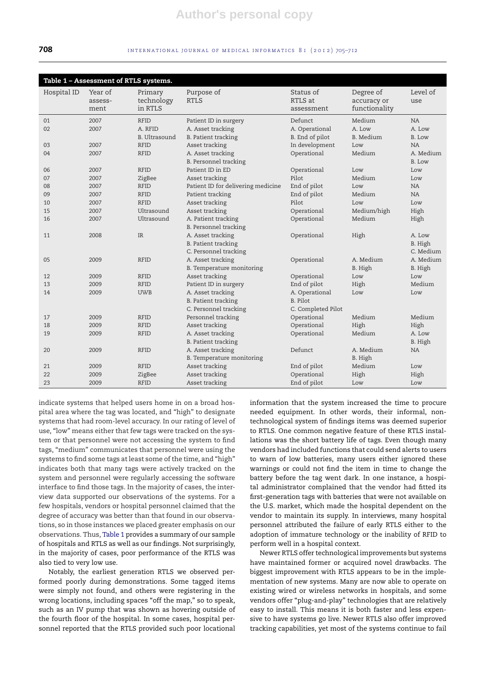## **708 international journal of medical informatics 81 (2012)** 705–712

|             | Table 1 - Assessment of RTLS systems. |                                  |                                    |                                    |                                           |                 |
|-------------|---------------------------------------|----------------------------------|------------------------------------|------------------------------------|-------------------------------------------|-----------------|
| Hospital ID | Year of<br>assess-<br>ment            | Primary<br>technology<br>in RTLS | Purpose of<br><b>RTLS</b>          | Status of<br>RTLS at<br>assessment | Degree of<br>accuracy or<br>functionality | Level of<br>use |
| 01          | 2007                                  | <b>RFID</b>                      | Patient ID in surgery              | <b>Defunct</b>                     | Medium                                    | <b>NA</b>       |
| 02          | 2007                                  | A. RFID                          | A. Asset tracking                  | A. Operational                     | A. Low                                    | A. Low          |
|             |                                       | <b>B.</b> Ultrasound             | <b>B.</b> Patient tracking         | B. End of pilot                    | <b>B.</b> Medium                          | B. Low          |
| 03          | 2007                                  | <b>RFID</b>                      | Asset tracking                     | In development                     | Low                                       | <b>NA</b>       |
| 04          | 2007                                  | <b>RFID</b>                      | A. Asset tracking                  | Operational                        | Medium                                    | A. Medium       |
|             |                                       |                                  | <b>B.</b> Personnel tracking       |                                    |                                           | <b>B.</b> Low   |
| 06          | 2007                                  | <b>RFID</b>                      | Patient ID in ED                   | Operational                        | Low                                       | Low             |
| 07          | 2007                                  | ZigBee                           | Asset tracking                     | Pilot                              | Medium                                    | Low             |
| 08          | 2007                                  | <b>RFID</b>                      | Patient ID for delivering medicine | End of pilot                       | Low                                       | <b>NA</b>       |
| 09          | 2007                                  | <b>RFID</b>                      | Patient tracking                   | End of pilot                       | Medium                                    | NA              |
| 10          | 2007                                  | <b>RFID</b>                      | Asset tracking                     | Pilot                              | Low                                       | Low             |
| 15          | 2007                                  | Ultrasound                       | Asset tracking                     | Operational                        | Medium/high                               | High            |
| 16          | 2007                                  | Ultrasound                       | A. Patient tracking                | Operational                        | Medium                                    | High            |
|             |                                       |                                  | <b>B.</b> Personnel tracking       |                                    |                                           |                 |
| 11          | 2008                                  | IR.                              | A. Asset tracking                  | Operational                        | High                                      | A. Low          |
|             |                                       |                                  | <b>B.</b> Patient tracking         |                                    |                                           | B. High         |
|             |                                       |                                  | C. Personnel tracking              |                                    |                                           | C. Medium       |
| 05          | 2009                                  | <b>RFID</b>                      | A. Asset tracking                  | Operational                        | A. Medium                                 | A. Medium       |
|             |                                       |                                  | B. Temperature monitoring          |                                    | B. High                                   | B. High         |
| 12          | 2009                                  | <b>RFID</b>                      | Asset tracking                     | Operational                        | Low                                       | Low             |
| 13          | 2009                                  | <b>RFID</b>                      | Patient ID in surgery              | End of pilot                       | High                                      | Medium          |
| 14          | 2009                                  | <b>UWB</b>                       | A. Asset tracking                  | A. Operational                     | Low                                       | Low             |
|             |                                       |                                  | <b>B.</b> Patient tracking         | B. Pilot                           |                                           |                 |
|             |                                       |                                  | C. Personnel tracking              | C. Completed Pilot                 |                                           |                 |
| 17          | 2009                                  | <b>RFID</b>                      | Personnel tracking                 | Operational                        | Medium                                    | Medium          |
| 18          | 2009                                  | <b>RFID</b>                      | Asset tracking                     | Operational                        | High                                      | High            |
| 19          | 2009                                  | <b>RFID</b>                      | A. Asset tracking                  | Operational                        | Medium                                    | A. Low          |
|             |                                       |                                  | <b>B.</b> Patient tracking         |                                    |                                           | B. High         |
| 20          | 2009                                  | <b>RFID</b>                      | A. Asset tracking                  | <b>Defunct</b>                     | A. Medium                                 | NA              |
|             |                                       |                                  | B. Temperature monitoring          |                                    | B. High                                   |                 |
| 21          | 2009                                  | <b>RFID</b>                      | Asset tracking                     | End of pilot                       | Medium                                    | Low             |
| 22          | 2009                                  | ZigBee                           | Asset tracking                     | Operational                        | High                                      | High            |
| 23          | 2009                                  | <b>RFID</b>                      | Asset tracking                     | End of pilot                       | Low                                       | Low             |
|             |                                       |                                  |                                    |                                    |                                           |                 |

indicate systems that helped users home in on a broad hospital area where the tag was located, and "high" to designate systems that had room-level accuracy. In our rating of level of use, "low" means either that few tags were tracked on the system or that personnel were not accessing the system to find tags, "medium" communicates that personnel were using the systems to find some tags at least some of the time, and "high" indicates both that many tags were actively tracked on the system and personnel were regularly accessing the software interface to find those tags. In the majority of cases, the interview data supported our observations of the systems. For a few hospitals, vendors or hospital personnel claimed that the degree of accuracy was better than that found in our observations, so in those instances we placed greater emphasis on our observations. Thus, Table 1 provides a summary of our sample of hospitals and RTLS as well as our findings. Not surprisingly, in the majority of cases, poor performance of the RTLS was also tied to very low use.

Notably, the earliest generation RTLS we observed performed poorly during demonstrations. Some tagged items were simply not found, and others were registering in the wrong locations, including spaces "off the map," so to speak, such as an IV pump that was shown as hovering outside of the fourth floor of the hospital. In some cases, hospital personnel reported that the RTLS provided such poor locational information that the system increased the time to procure needed equipment. In other words, their informal, nontechnological system of findings items was deemed superior to RTLS. One common negative feature of these RTLS installations was the short battery life of tags. Even though many vendors had included functions that could send alerts to users to warn of low batteries, many users either ignored these warnings or could not find the item in time to change the battery before the tag went dark. In one instance, a hospital administrator complained that the vendor had fitted its first-generation tags with batteries that were not available on the U.S. market, which made the hospital dependent on the vendor to maintain its supply. In interviews, many hospital personnel attributed the failure of early RTLS either to the adoption of immature technology or the inability of RFID to perform well in a hospital context.

Newer RTLS offer technological improvements but systems have maintained former or acquired novel drawbacks. The biggest improvement with RTLS appears to be in the implementation of new systems. Many are now able to operate on existing wired or wireless networks in hospitals, and some vendors offer "plug-and-play" technologies that are relatively easy to install. This means it is both faster and less expensive to have systems go live. Newer RTLS also offer improved tracking capabilities, yet most of the systems continue to fail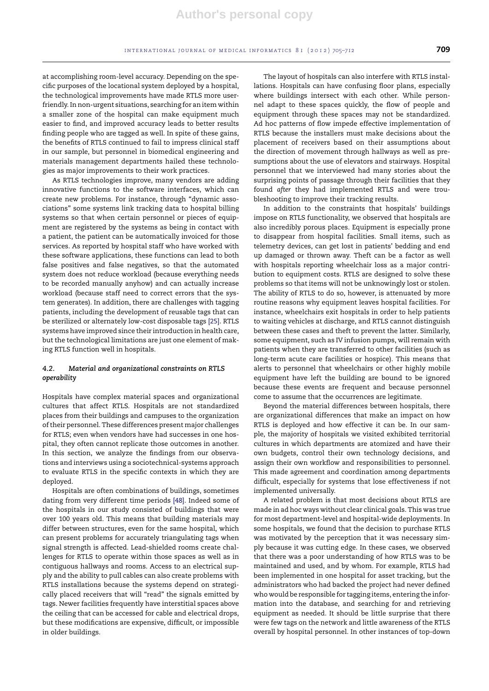at accomplishing room-level accuracy. Depending on the specific purposes of the locational system deployed by a hospital, the technological improvements have made RTLS more userfriendly. In non-urgent situations, searching for an item within a smaller zone of the hospital can make equipment much easier to find, and improved accuracy leads to better results finding people who are tagged as well. In spite of these gains, the benefits of RTLS continued to fail to impress clinical staff in our sample, but personnel in biomedical engineering and materials management departments hailed these technologies as major improvements to their work practices.

As RTLS technologies improve, many vendors are adding innovative functions to the software interfaces, which can create new problems. For instance, through "dynamic associations" some systems link tracking data to hospital billing systems so that when certain personnel or pieces of equipment are registered by the systems as being in contact with a patient, the patient can be automatically invoiced for those services. As reported by hospital staff who have worked with these software applications, these functions can lead to both false positives and false negatives, so that the automated system does not reduce workload (because everything needs to be recorded manually anyhow) and can actually increase workload (because staff need to correct errors that the system generates). In addition, there are challenges with tagging patients, including the development of reusable tags that can be sterilized or alternately low-cost disposable tags [25]. RTLS systems have improved since their introduction in health care, but the technological limitations are just one element of making RTLS function well in hospitals.

#### *4.2. Material and organizational constraints on RTLS operability*

Hospitals have complex material spaces and organizational cultures that affect RTLS. Hospitals are not standardized places from their buildings and campuses to the organization oftheir personnel. These differences present major challenges for RTLS; even when vendors have had successes in one hospital, they often cannot replicate those outcomes in another. In this section, we analyze the findings from our observations and interviews using a sociotechnical-systems approach to evaluate RTLS in the specific contexts in which they are deployed.

Hospitals are often combinations of buildings, sometimes dating from very different time periods [48]. Indeed some of the hospitals in our study consisted of buildings that were over 100 years old. This means that building materials may differ between structures, even for the same hospital, which can present problems for accurately triangulating tags when signal strength is affected. Lead-shielded rooms create challenges for RTLS to operate within those spaces as well as in contiguous hallways and rooms. Access to an electrical supply and the ability to pull cables can also create problems with RTLS installations because the systems depend on strategically placed receivers that will "read" the signals emitted by tags. Newer facilities frequently have interstitial spaces above the ceiling that can be accessed for cable and electrical drops, but these modifications are expensive, difficult, or impossible in older buildings.

The layout of hospitals can also interfere with RTLS installations. Hospitals can have confusing floor plans, especially where buildings intersect with each other. While personnel adapt to these spaces quickly, the flow of people and equipment through these spaces may not be standardized. Ad hoc patterns of flow impede effective implementation of RTLS because the installers must make decisions about the placement of receivers based on their assumptions about the direction of movement through hallways as well as presumptions about the use of elevators and stairways. Hospital personnel that we interviewed had many stories about the surprising points of passage through their facilities that they found *after* they had implemented RTLS and were troubleshooting to improve their tracking results.

In addition to the constraints that hospitals' buildings impose on RTLS functionality, we observed that hospitals are also incredibly porous places. Equipment is especially prone to disappear from hospital facilities. Small items, such as telemetry devices, can get lost in patients' bedding and end up damaged or thrown away. Theft can be a factor as well with hospitals reporting wheelchair loss as a major contribution to equipment costs. RTLS are designed to solve these problems so that items will not be unknowingly lost or stolen. The ability of RTLS to do so, however, is attenuated by more routine reasons why equipment leaves hospital facilities. For instance, wheelchairs exit hospitals in order to help patients to waiting vehicles at discharge, and RTLS cannot distinguish between these cases and theft to prevent the latter. Similarly, some equipment, such as IV infusion pumps, will remain with patients when they are transferred to other facilities (such as long-term acute care facilities or hospice). This means that alerts to personnel that wheelchairs or other highly mobile equipment have left the building are bound to be ignored because these events are frequent and because personnel come to assume that the occurrences are legitimate.

Beyond the material differences between hospitals, there are organizational differences that make an impact on how RTLS is deployed and how effective it can be. In our sample, the majority of hospitals we visited exhibited territorial cultures in which departments are atomized and have their own budgets, control their own technology decisions, and assign their own workflow and responsibilities to personnel. This made agreement and coordination among departments difficult, especially for systems that lose effectiveness if not implemented universally.

A related problem is that most decisions about RTLS are made in ad hoc ways without clear clinical goals. This was true for most department-level and hospital-wide deployments. In some hospitals, we found that the decision to purchase RTLS was motivated by the perception that it was necessary simply because it was cutting edge. In these cases, we observed that there was a poor understanding of how RTLS was to be maintained and used, and by whom. For example, RTLS had been implemented in one hospital for asset tracking, but the administrators who had backed the project had never defined who would be responsible for tagging items, entering the information into the database, and searching for and retrieving equipment as needed. It should be little surprise that there were few tags on the network and little awareness of the RTLS overall by hospital personnel. In other instances of top-down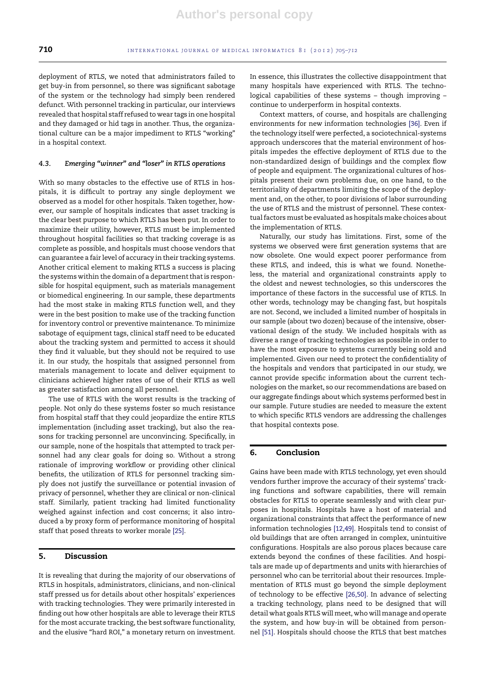deployment of RTLS, we noted that administrators failed to get buy-in from personnel, so there was significant sabotage of the system or the technology had simply been rendered defunct. With personnel tracking in particular, our interviews revealed that hospital staff refused to wear tags in one hospital and they damaged or hid tags in another. Thus, the organizational culture can be a major impediment to RTLS "working" in a hospital context.

#### *4.3. Emerging "winner" and "loser" in RTLS operations*

With so many obstacles to the effective use of RTLS in hospitals, it is difficult to portray any single deployment we observed as a model for other hospitals. Taken together, however, our sample of hospitals indicates that asset tracking is the clear best purpose to which RTLS has been put. In order to maximize their utility, however, RTLS must be implemented throughout hospital facilities so that tracking coverage is as complete as possible, and hospitals must choose vendors that can guarantee a fair level of accuracy in their tracking systems. Another critical element to making RTLS a success is placing the systems within the domain of a department that is responsible for hospital equipment, such as materials management or biomedical engineering. In our sample, these departments had the most stake in making RTLS function well, and they were in the best position to make use of the tracking function for inventory control or preventive maintenance. To minimize sabotage of equipment tags, clinical staff need to be educated about the tracking system and permitted to access it should they find it valuable, but they should not be required to use it. In our study, the hospitals that assigned personnel from materials management to locate and deliver equipment to clinicians achieved higher rates of use of their RTLS as well as greater satisfaction among all personnel.

The use of RTLS with the worst results is the tracking of people. Not only do these systems foster so much resistance from hospital staff that they could jeopardize the entire RTLS implementation (including asset tracking), but also the reasons for tracking personnel are unconvincing. Specifically, in our sample, none of the hospitals that attempted to track personnel had any clear goals for doing so. Without a strong rationale of improving workflow or providing other clinical benefits, the utilization of RTLS for personnel tracking simply does not justify the surveillance or potential invasion of privacy of personnel, whether they are clinical or non-clinical staff. Similarly, patient tracking had limited functionality weighed against infection and cost concerns; it also introduced a by proxy form of performance monitoring of hospital staff that posed threats to worker morale [25].

## **5. Discussion**

It is revealing that during the majority of our observations of RTLS in hospitals, administrators, clinicians, and non-clinical staff pressed us for details about other hospitals' experiences with tracking technologies. They were primarily interested in finding out how other hospitals are able to leverage their RTLS for the most accurate tracking, the best software functionality, and the elusive "hard ROI," a monetary return on investment.

In essence, this illustrates the collective disappointment that many hospitals have experienced with RTLS. The technological capabilities of these systems – though improving – continue to underperform in hospital contexts.

Context matters, of course, and hospitals are challenging environments for new information technologies [36]. Even if the technology itself were perfected, a sociotechnical-systems approach underscores that the material environment of hospitals impedes the effective deployment of RTLS due to the non-standardized design of buildings and the complex flow of people and equipment. The organizational cultures of hospitals present their own problems due, on one hand, to the territoriality of departments limiting the scope of the deployment and, on the other, to poor divisions of labor surrounding the use of RTLS and the mistrust of personnel. These contextualfactors must be evaluated as hospitals make choices about the implementation of RTLS.

Naturally, our study has limitations. First, some of the systems we observed were first generation systems that are now obsolete. One would expect poorer performance from these RTLS, and indeed, this is what we found. Nonetheless, the material and organizational constraints apply to the oldest and newest technologies, so this underscores the importance of these factors in the successful use of RTLS. In other words, technology may be changing fast, but hospitals are not. Second, we included a limited number of hospitals in our sample (about two dozen) because of the intensive, observational design of the study. We included hospitals with as diverse a range of tracking technologies as possible in order to have the most exposure to systems currently being sold and implemented. Given our need to protect the confidentiality of the hospitals and vendors that participated in our study, we cannot provide specific information about the current technologies on the market, so our recommendations are based on our aggregate findings about which systems performed best in our sample. Future studies are needed to measure the extent to which specific RTLS vendors are addressing the challenges that hospital contexts pose.

## **6. Conclusion**

Gains have been made with RTLS technology, yet even should vendors further improve the accuracy of their systems' tracking functions and software capabilities, there will remain obstacles for RTLS to operate seamlessly and with clear purposes in hospitals. Hospitals have a host of material and organizational constraints that affect the performance of new information technologies [12,49]. Hospitals tend to consist of old buildings that are often arranged in complex, unintuitive configurations. Hospitals are also porous places because care extends beyond the confines of these facilities. And hospitals are made up of departments and units with hierarchies of personnel who can be territorial about their resources. Implementation of RTLS must go beyond the simple deployment of technology to be effective [26,50]. In advance of selecting a tracking technology, plans need to be designed that will detail what goals RTLS will meet, who will manage and operate the system, and how buy-in will be obtained from personnel [51]. Hospitals should choose the RTLS that best matches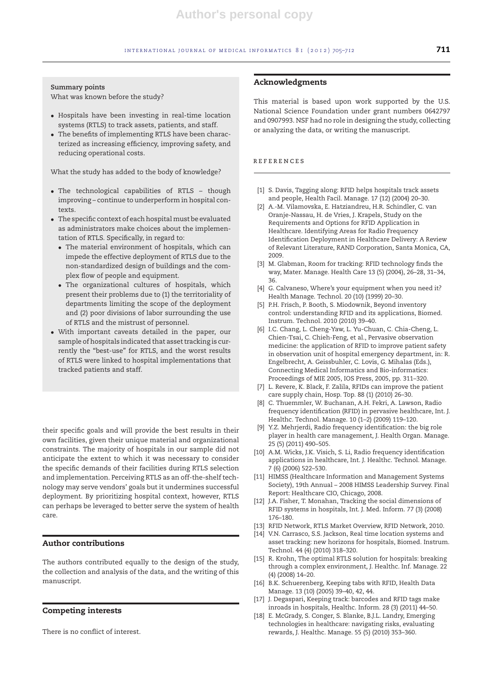**Summary points**

What was known before the study?

- Hospitals have been investing in real-time location systems (RTLS) to track assets, patients, and staff.
- The benefits of implementing RTLS have been characterized as increasing efficiency, improving safety, and reducing operational costs.

What the study has added to the body of knowledge?

- The technological capabilities of RTLS though improving – continue to underperform in hospital contexts.
- The specific context of each hospital must be evaluated as administrators make choices about the implementation of RTLS. Specifically, in regard to:
	- The material environment of hospitals, which can impede the effective deployment of RTLS due to the non-standardized design of buildings and the complex flow of people and equipment.
	- The organizational cultures of hospitals, which present their problems due to (1) the territoriality of departments limiting the scope of the deployment and (2) poor divisions of labor surrounding the use of RTLS and the mistrust of personnel.
- With important caveats detailed in the paper, our sample of hospitals indicated that asset tracking is currently the "best-use" for RTLS, and the worst results of RTLS were linked to hospital implementations that tracked patients and staff.

their specific goals and will provide the best results in their own facilities, given their unique material and organizational constraints. The majority of hospitals in our sample did not anticipate the extent to which it was necessary to consider the specific demands of their facilities during RTLS selection and implementation. Perceiving RTLS as an off-the-shelf technology may serve vendors' goals but it undermines successful deployment. By prioritizing hospital context, however, RTLS can perhaps be leveraged to better serve the system of health care.

## **Author contributions**

The authors contributed equally to the design of the study, the collection and analysis of the data, and the writing of this manuscript.

## **Competing interests**

There is no conflict of interest.

#### **Acknowledgments**

This material is based upon work supported by the U.S. National Science Foundation under grant numbers 0642797 and 0907993. NSF had no role in designing the study, collecting or analyzing the data, or writing the manuscript.

#### r e f e r enc e s

- [1] S. Davis, Tagging along: RFID helps hospitals track assets and people, Health Facil. Manage. 17 (12) (2004) 20–30.
- [2] A.-M. Vilamovska, E. Hatziandreu, H.R. Schindler, C. van Oranje-Nassau, H. de Vries, J. Krapels, Study on the Requirements and Options for RFID Application in Healthcare. Identifying Areas for Radio Frequency Identification Deployment in Healthcare Delivery: A Review of Relevant Literature, RAND Corporation, Santa Monica, CA, 2009.
- [3] M. Glabman, Room for tracking: RFID technology finds the way, Mater. Manage. Health Care 13 (5) (2004), 26–28, 31–34, 36.
- [4] G. Calvaneso, Where's your equipment when you need it? Health Manage. Technol. 20 (10) (1999) 20–30.
- [5] P.H. Frisch, P. Booth, S. Miodownik, Beyond inventory control: understanding RFID and its applications, Biomed. Instrum. Technol. 2010 (2010) 39–40.
- [6] I.C. Chang, L. Cheng-Yaw, L. Yu-Chuan, C. Chia-Cheng, L. Chien-Tsai, C. Chieh-Feng, et al., Pervasive observation medicine: the application of RFID to improve patient safety in observation unit of hospital emergency department, in: R. Engelbrecht, A. Geissbuhler, C. Lovis, G. Mihalas (Eds.), Connecting Medical Informatics and Bio-informatics: Proceedings of MIE 2005, IOS Press, 2005, pp. 311–320.
- [7] L. Revere, K. Black, F. Zalila, RFIDs can improve the patient care supply chain, Hosp. Top. 88 (1) (2010) 26–30.
- [8] C. Thuemmler, W. Buchanan, A.H. Fekri, A. Lawson, Radio frequency identification (RFID) in pervasive healthcare, Int. J. Healthc. Technol. Manage. 10 (1–2) (2009) 119–120.
- [9] Y.Z. Mehrjerdi, Radio frequency identification: the big role player in health care management, J. Health Organ. Manage. 25 (5) (2011) 490–505.
- [10] A.M. Wicks, J.K. Visich, S. Li, Radio frequency identification applications in healthcare, Int. J. Healthc. Technol. Manage. 7 (6) (2006) 522–530.
- [11] HIMSS (Healthcare Information and Management Systems Society), 19th Annual – 2008 HIMSS Leadership Survey. Final Report: Healthcare CIO, Chicago, 2008.
- [12] J.A. Fisher, T. Monahan, Tracking the social dimensions of RFID systems in hospitals, Int. J. Med. Inform. 77 (3) (2008) 176–180.
- [13] RFID Network, RTLS Market Overview, RFID Network, 2010.
- [14] V.N. Carrasco, S.S. Jackson, Real time location systems and asset tracking: new horizons for hospitals, Biomed. Instrum. Technol. 44 (4) (2010) 318–320.
- [15] R. Krohn, The optimal RTLS solution for hospitals: breaking through a complex environment, J. Healthc. Inf. Manage. 22 (4) (2008) 14–20.
- [16] B.K. Schuerenberg, Keeping tabs with RFID, Health Data Manage. 13 (10) (2005) 39–40, 42, 44.
- [17] J. Degaspari, Keeping track: barcodes and RFID tags make inroads in hospitals, Healthc. Inform. 28 (3) (2011) 44–50.
- [18] E. McGrady, S. Conger, S. Blanke, B.J.L. Landry, Emerging technologies in healthcare: navigating risks, evaluating rewards, J. Healthc. Manage. 55 (5) (2010) 353–360.